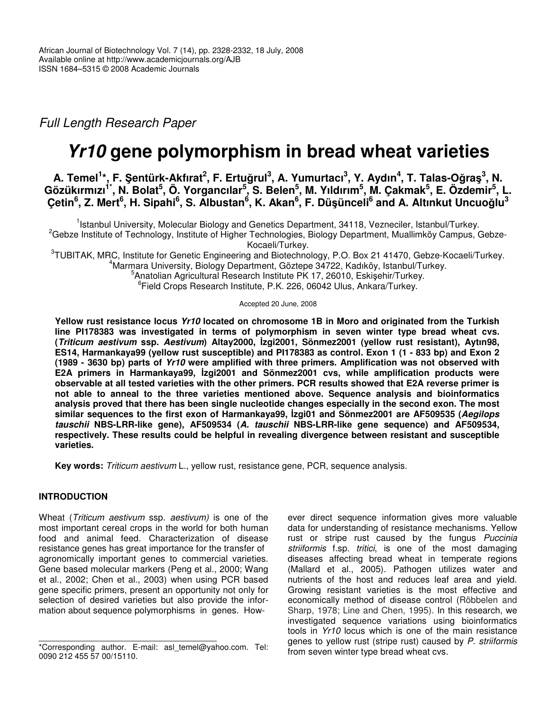*Full Length Research Paper*

# *Yr10* **gene polymorphism in bread wheat varieties**

A. Temel<sup>1</sup>\*, F. Şentürk-Akfırat<sup>2</sup>, F. Ertuğrul<sup>3</sup>, A. Yumurtacı<sup>3</sup>, Y. Aydın<sup>4</sup>, T. Talas-Oğraş<sup>3</sup>, N. Gözükırmızı<sup>1\*</sup>, N. Bolat<sup>5</sup>, Ö. Yorgancılar<sup>5</sup>, S. Belen<sup>5</sup>, M. Yıldırım<sup>5</sup>, M. Çakmak<sup>5</sup>, E. Özdemir<sup>5</sup>, L. Çetin<sup>6</sup>, Z. Mert<sup>6</sup>, H. Sipahi<sup>6</sup>, S. Albustan<sup>6</sup>, K. Akan<sup>6</sup>, F. Düşünceli<sup>6</sup> and A. Altınkut Uncuoğlu<sup>3</sup>

<sup>1</sup>Istanbul University, Molecular Biology and Genetics Department, 34118, Vezneciler, Istanbul/Turkey. <sup>2</sup>Gebze Institute of Technology, Institute of Higher Technologies, Biology Department, Muallimköy Campus, Gebze-Kocaeli/Turkey.

3 TUBITAK, MRC, Institute for Genetic Engineering and Biotechnology, P.O. Box 21 41470, Gebze-Kocaeli/Turkey. <sup>4</sup>Marmara University, Biology Department, Göztepe 34722, Kadıköy, Istanbul/Turkey.

<sup>5</sup> Anatolian Agricultural Research Institute PK 17, 26010, Eskişehir/Turkey.

6 Field Crops Research Institute, P.K. 226, 06042 Ulus, Ankara/Turkey.

Accepted 20 June, 2008

**Yellow rust resistance locus** *Yr10* **located on chromosome 1B in Moro and originated from the Turkish line PI178383 was investigated in terms of polymorphism in seven winter type bread wheat cvs. (***Triticum aestivum* **ssp.** *Aestivum***) Altay2000, zgi2001, Sönmez2001 (yellow rust resistant), Aytın98,** ES14, Harmankaya99 (yellow rust susceptible) and Pl178383 as control. Exon 1 (1 - 833 bp) and Exon 2 **(1989 - 3630 bp) parts of** *Yr10* **were amplified with three primers. Amplification was not observed with E2A primers in Harmankaya99, zgi2001 and Sönmez2001 cvs, while amplification products were observable at all tested varieties with the other primers. PCR results showed that E2A reverse primer is not able to anneal to the three varieties mentioned above. Sequence analysis and bioinformatics analysis proved that there has been single nucleotide changes especially in the second exon. The most similar sequences to the first exon of Harmankaya99, zgi01 and Sönmez2001 are AF509535 (***Aegilops tauschii* **NBS-LRR-like gene), AF509534 (***A. tauschii* **NBS-LRR-like gene sequence) and AF509534, respectively. These results could be helpful in revealing divergence between resistant and susceptible varieties.**

**Key words:** *Triticum aestivum* L., yellow rust, resistance gene, PCR, sequence analysis.

## **INTRODUCTION**

Wheat (*Triticum aestivum* ssp. *aestivum)* is one of the most important cereal crops in the world for both human food and animal feed. Characterization of disease resistance genes has great importance for the transfer of agronomically important genes to commercial varieties. Gene based molecular markers (Peng et al., 2000; Wang et al., 2002; Chen et al., 2003) when using PCR based gene specific primers, present an opportunity not only for selection of desired varieties but also provide the information about sequence polymorphisms in genes. How-

ever direct sequence information gives more valuable data for understanding of resistance mechanisms. Yellow rust or stripe rust caused by the fungus *Puccinia striiformis* f.sp. *tritici*, is one of the most damaging diseases affecting bread wheat in temperate regions (Mallard et al., 2005). Pathogen utilizes water and nutrients of the host and reduces leaf area and yield. Growing resistant varieties is the most effective and economically method of disease control (Röbbelen and Sharp, 1978; Line and Chen, 1995). In this research, we investigated sequence variations using bioinformatics tools in *Yr10* locus which is one of the main resistance genes to yellow rust (stripe rust) caused by *P. striiformis* from seven winter type bread wheat cvs.

<sup>\*</sup>Corresponding author. E-mail: asl\_temel@yahoo.com. Tel: 0090 212 455 57 00/15110.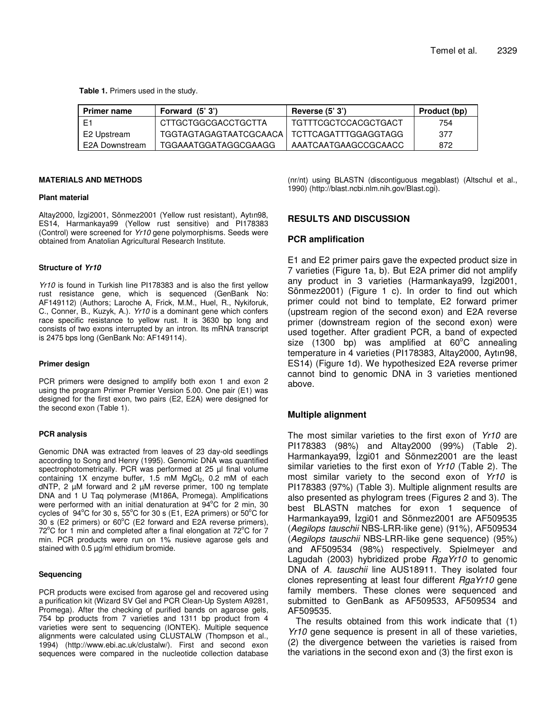**Table 1.** Primers used in the study.

| <b>Primer name</b> | Forward (5'3')                                | Reverse $(5'3')$     | Product (bp) |
|--------------------|-----------------------------------------------|----------------------|--------------|
| F                  | CTTGCTGGCGACCTGCTTA                           | TGTTTCGCTCCACGCTGACT | 754          |
| E2 Upstream        | TGGTAGTAGAGTAATCGCAACA   TCTTCAGATTTGGAGGTAGG |                      | 377          |
| E2A Downstream     | TGGAAATGGATAGGCGAAGG                          | AAATCAATGAAGCCGCAACC | 872          |

#### **MATERIALS AND METHODS**

#### **Plant material**

Altay2000, İzgi2001, Sönmez2001 (Yellow rust resistant), Aytın98, ES14, Harmankaya99 (Yellow rust sensitive) and PI178383 (Control) were screened for *Yr10* gene polymorphisms. Seeds were obtained from Anatolian Agricultural Research Institute.

#### **Structure of** *Yr10*

*Yr10* is found in Turkish line PI178383 and is also the first yellow rust resistance gene, which is sequenced (GenBank No: AF149112) (Authors; Laroche A, Frick, M.M., Huel, R., Nykiforuk, C., Conner, B., Kuzyk, A.). *Yr10* is a dominant gene which confers race specific resistance to yellow rust. It is 3630 bp long and consists of two exons interrupted by an intron. Its mRNA transcript is 2475 bps long (GenBank No: AF149114).

#### **Primer design**

PCR primers were designed to amplify both exon 1 and exon 2 using the program Primer Premier Version 5.00. One pair (E1) was designed for the first exon, two pairs (E2, E2A) were designed for the second exon (Table 1).

### **PCR analysis**

Genomic DNA was extracted from leaves of 23 day-old seedlings according to Song and Henry (1995). Genomic DNA was quantified spectrophotometrically. PCR was performed at 25 µl final volume containing  $1X$  enzyme buffer,  $1.5$  mM  $MgCl<sub>2</sub>$ , 0.2 mM of each dNTP, 2 µM forward and 2 µM reverse primer, 100 ng template DNA and 1 U Taq polymerase (M186A, Promega). Amplifications were performed with an initial denaturation at 94°C for 2 min, 30 cycles of  $94^{\circ}$ C for 30 s, 55°C for 30 s (E1, E2A primers) or 50°C for 30 s (E2 primers) or  $60^{\circ}$ C (E2 forward and E2A reverse primers),  $72^{\circ}$ C for 1 min and completed after a final elongation at  $72^{\circ}$ C for  $7$ min. PCR products were run on 1% nusieve agarose gels and stained with 0.5 µg/ml ethidium bromide.

#### **Sequencing**

PCR products were excised from agarose gel and recovered using a purification kit (Wizard SV Gel and PCR Clean-Up System A9281, Promega). After the checking of purified bands on agarose gels, 754 bp products from 7 varieties and 1311 bp product from 4 varieties were sent to sequencing (IONTEK). Multiple sequence alignments were calculated using CLUSTALW (Thompson et al., 1994) (http://www.ebi.ac.uk/clustalw/). First and second exon sequences were compared in the nucleotide collection database (nr/nt) using BLASTN (discontiguous megablast) (Altschul et al., 1990) (http://blast.ncbi.nlm.nih.gov/Blast.cgi).

## **RESULTS AND DISCUSSION**

## **PCR amplification**

E1 and E2 primer pairs gave the expected product size in 7 varieties (Figure 1a, b). But E2A primer did not amplify any product in 3 varieties (Harmankaya99, İzgi2001, Sönmez2001) (Figure 1 c). In order to find out which primer could not bind to template, E2 forward primer (upstream region of the second exon) and E2A reverse primer (downstream region of the second exon) were used together. After gradient PCR, a band of expected size (1300 bp) was amplified at  $60^{\circ}$ C annealing temperature in 4 varieties (PI178383, Altay2000, Aytın98, ES14) (Figure 1d). We hypothesized E2A reverse primer cannot bind to genomic DNA in 3 varieties mentioned above.

## **Multiple alignment**

The most similar varieties to the first exon of *Yr10* are PI178383 (98%) and Altay2000 (99%) (Table 2). Harmankaya99, İzgi01 and Sönmez2001 are the least similar varieties to the first exon of *Yr10* (Table 2). The most similar variety to the second exon of *Yr10* is PI178383 (97%) (Table 3). Multiple alignment results are also presented as phylogram trees (Figures 2 and 3). The best BLASTN matches for exon 1 sequence of Harmankaya99, İzgi01 and Sönmez2001 are AF509535 (*Aegilops tauschii* NBS-LRR-like gene) (91%), AF509534 (*Aegilops tauschii* NBS-LRR-like gene sequence) (95%) and AF509534 (98%) respectively. Spielmeyer and Lagudah (2003) hybridized probe *RgaYr10* to genomic DNA of *A. tauschii* line AUS18911. They isolated four clones representing at least four different *RgaYr10* gene family members. These clones were sequenced and submitted to GenBank as AF509533, AF509534 and AF509535.

The results obtained from this work indicate that (1) *Yr10* gene sequence is present in all of these varieties, (2) the divergence between the varieties is raised from the variations in the second exon and (3) the first exon is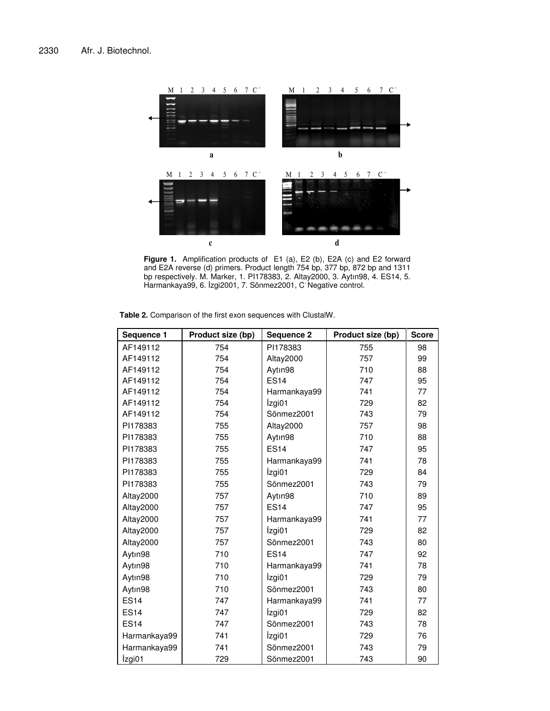

**Figure 1.** Amplification products of E1 (a), E2 (b), E2A (c) and E2 forward and E2A reverse (d) primers. Product length 754 bp, 377 bp, 872 bp and 1311 bp respectively. M. Marker, 1. PI178383, 2. Altay2000, 3. Aytın98, 4. ES14, 5. Harmankaya99, 6. İzgi2001, 7. Sönmez2001, C Negative control.

|  | <b>Table 2.</b> Comparison of the first exon sequences with ClustalW. |
|--|-----------------------------------------------------------------------|
|--|-----------------------------------------------------------------------|

| Sequence 1   | Product size (bp) | Sequence 2   | Product size (bp) | <b>Score</b> |
|--------------|-------------------|--------------|-------------------|--------------|
| AF149112     | 754               | PI178383     | 755               | 98           |
| AF149112     | 754               | Altay2000    | 757               | 99           |
| AF149112     | 754               | Aytın98      | 710               | 88           |
| AF149112     | 754               | <b>ES14</b>  | 747               | 95           |
| AF149112     | 754               | Harmankaya99 | 741               | 77           |
| AF149112     | 754               | İzgi01       | 729               | 82           |
| AF149112     | 754               | Sönmez2001   | 743               | 79           |
| PI178383     | 755               | Altay2000    | 757               | 98           |
| PI178383     | 755               | Aytın98      | 710               | 88           |
| PI178383     | 755               | <b>ES14</b>  | 747               | 95           |
| PI178383     | 755               | Harmankaya99 | 741               | 78           |
| PI178383     | 755               | İzgi01       | 729               | 84           |
| PI178383     | 755               | Sönmez2001   | 743               | 79           |
| Altay2000    | 757               | Aytın98      | 710               | 89           |
| Altay2000    | 757               | <b>ES14</b>  | 747               | 95           |
| Altay2000    | 757               | Harmankaya99 | 741               | 77           |
| Altay2000    | 757               | İzgi01       | 729               | 82           |
| Altay2000    | 757               | Sönmez2001   | 743               | 80           |
| Aytın98      | 710               | <b>ES14</b>  | 747               | 92           |
| Aytın98      | 710               | Harmankaya99 | 741               | 78           |
| Aytın98      | 710               | İzgi01       | 729               | 79           |
| Aytın98      | 710               | Sönmez2001   | 743               | 80           |
| <b>ES14</b>  | 747               | Harmankaya99 | 741               | 77           |
| <b>ES14</b>  | 747               | İzgi01       | 729               | 82           |
| <b>ES14</b>  | 747               | Sönmez2001   | 743               | 78           |
| Harmankaya99 | 741               | İzgi01       | 729               | 76           |
| Harmankaya99 | 741               | Sönmez2001   | 743               | 79           |
| İzgi01       | 729               | Sönmez2001   | 743               | 90           |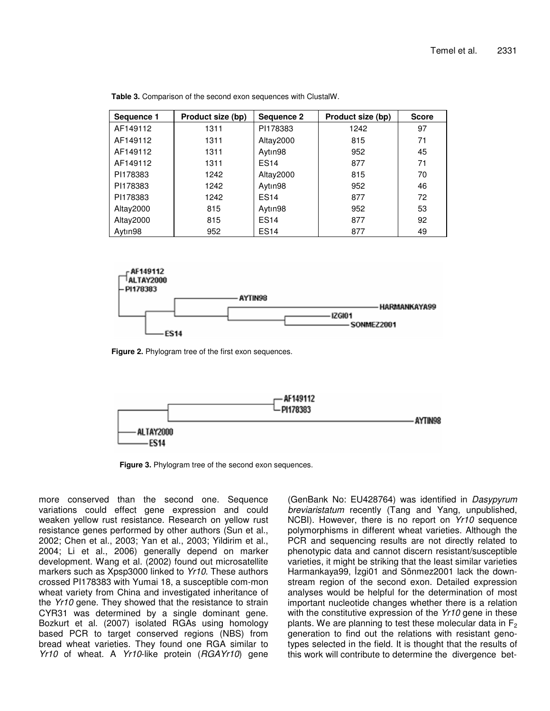| Sequence 1 | Product size (bp) | Sequence 2  | Product size (bp) | <b>Score</b> |
|------------|-------------------|-------------|-------------------|--------------|
| AF149112   | 1311              | PI178383    | 1242              | 97           |
| AF149112   | 1311              | Altay2000   | 815               | 71           |
| AF149112   | 1311              | Aytın98     | 952               | 45           |
| AF149112   | 1311              | <b>ES14</b> | 877               | 71           |
| PI178383   | 1242              | Altay2000   | 815               | 70           |
| PI178383   | 1242              | Aytın98     | 952               | 46           |
| PI178383   | 1242              | <b>ES14</b> | 877               | 72           |
| Altay2000  | 815               | Aytın98     | 952               | 53           |
| Altay2000  | 815               | <b>ES14</b> | 877               | 92           |
| Aytın98    | 952               | <b>ES14</b> | 877               | 49           |

**Table 3.** Comparison of the second exon sequences with ClustalW.



**Figure 2.** Phylogram tree of the first exon sequences.



**Figure 3.** Phylogram tree of the second exon sequences.

more conserved than the second one. Sequence variations could effect gene expression and could weaken yellow rust resistance. Research on yellow rust resistance genes performed by other authors (Sun et al., 2002; Chen et al., 2003; Yan et al., 2003; Yildirim et al., 2004; Li et al., 2006) generally depend on marker development. Wang et al. (2002) found out microsatellite markers such as Xpsp3000 linked to *Yr10*. These authors crossed PI178383 with Yumai 18, a susceptible com-mon wheat variety from China and investigated inheritance of the *Yr10* gene. They showed that the resistance to strain CYR31 was determined by a single dominant gene. Bozkurt et al. (2007) isolated RGAs using homology based PCR to target conserved regions (NBS) from bread wheat varieties. They found one RGA similar to *Yr10* of wheat. A *Yr10*-like protein (*RGAYr10*) gene

(GenBank No: EU428764) was identified in *Dasypyrum breviaristatum* recently (Tang and Yang, unpublished, NCBI). However, there is no report on *Yr10* sequence polymorphisms in different wheat varieties. Although the PCR and sequencing results are not directly related to phenotypic data and cannot discern resistant/susceptible varieties, it might be striking that the least similar varieties Harmankaya99, İzgi01 and Sönmez2001 lack the downstream region of the second exon. Detailed expression analyses would be helpful for the determination of most important nucleotide changes whether there is a relation with the constitutive expression of the *Yr10* gene in these plants. We are planning to test these molecular data in  $F_2$ generation to find out the relations with resistant genotypes selected in the field. It is thought that the results of this work will contribute to determine the divergence bet